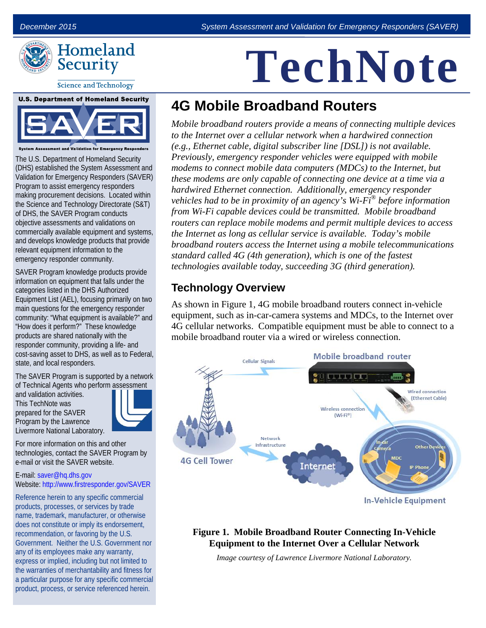

# **TechNote**

#### **Science and Technology**



**Assessment and Validation for Emergency Res** 

The U.S. Department of Homeland Security (DHS) established the System Assessment and Validation for Emergency Responders (SAVER) Program to assist emergency responders making procurement decisions. Located within the Science and Technology Directorate (S&T) of DHS, the SAVER Program conducts objective assessments and validations on commercially available equipment and systems, and develops knowledge products that provide relevant equipment information to the emergency responder community.

SAVER Program knowledge products provide information on equipment that falls under the categories listed in the DHS Authorized Equipment List (AEL), focusing primarily on two main questions for the emergency responder community: "What equipment is available?" and "How does it perform?" These knowledge products are shared nationally with the responder community, providing a life- and cost-saving asset to DHS, as well as to Federal, state, and local responders.

The SAVER Program is supported by a network of Technical Agents who perform assessment

and validation activities. This TechNote was prepared for the SAVER Program by the Lawrence Livermore National Laboratory.



For more information on this and other technologies, contact the SAVER Program by e-mail or visit the SAVER website.

E-mail: [saver@hq.dhs.gov](mailto:saver@hq.dhs.gov) Website: <http://www.firstresponder.gov/SAVER>

Reference herein to any specific commercial products, processes, or services by trade name, trademark, manufacturer, or otherwise does not constitute or imply its endorsement, recommendation, or favoring by the U.S. Government. Neither the U.S. Government nor any of its employees make any warranty, express or implied, including but not limited to the warranties of merchantability and fitness for a particular purpose for any specific commercial product, process, or service referenced herein.

## **4G Mobile Broadband Routers**

*Mobile broadband routers provide a means of connecting multiple devices to the Internet over a cellular network when a hardwired connection (e.g., Ethernet cable, digital subscriber line [DSL]) is not available. Previously, emergency responder vehicles were equipped with mobile modems to connect mobile data computers (MDCs) to the Internet, but these modems are only capable of connecting one device at a time via a hardwired Ethernet connection. Additionally, emergency responder vehicles had to be in proximity of an agency's Wi-Fi® before information from Wi-Fi capable devices could be transmitted. Mobile broadband routers can replace mobile modems and permit multiple devices to access the Internet as long as cellular service is available. Today's mobile broadband routers access the Internet using a mobile telecommunications standard called 4G (4th generation), which is one of the fastest technologies available today, succeeding 3G (third generation).* 

### **Technology Overview**

As shown in Figure 1, 4G mobile broadband routers connect in-vehicle equipment, such as in-car-camera systems and MDCs, to the Internet over 4G cellular networks. Compatible equipment must be able to connect to a mobile broadband router via a wired or wireless connection.



#### **Figure 1. Mobile Broadband Router Connecting In-Vehicle Equipment to the Internet Over a Cellular Network**

*Image courtesy of Lawrence Livermore National Laboratory.*